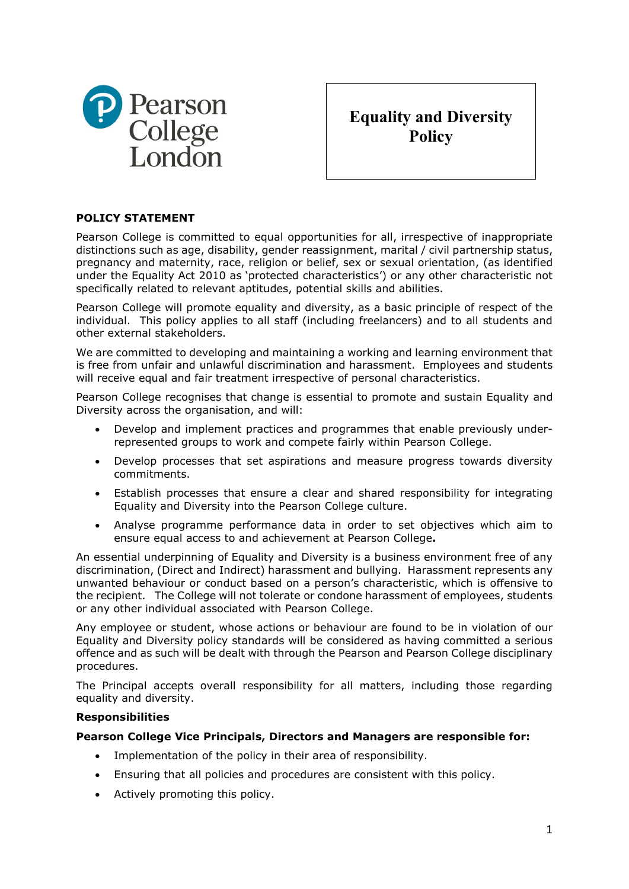

**Equality and Diversity Policy**

## **POLICY STATEMENT**

Pearson College is committed to equal opportunities for all, irrespective of inappropriate distinctions such as age, disability, gender reassignment, marital / civil partnership status, pregnancy and maternity, race, religion or belief, sex or sexual orientation, (as identified under the Equality Act 2010 as 'protected characteristics') or any other characteristic not specifically related to relevant aptitudes, potential skills and abilities.

Pearson College will promote equality and diversity, as a basic principle of respect of the individual. This policy applies to all staff (including freelancers) and to all students and other external stakeholders.

We are committed to developing and maintaining a working and learning environment that is free from unfair and unlawful discrimination and harassment. Employees and students will receive equal and fair treatment irrespective of personal characteristics.

Pearson College recognises that change is essential to promote and sustain Equality and Diversity across the organisation, and will:

- Develop and implement practices and programmes that enable previously underrepresented groups to work and compete fairly within Pearson College.
- Develop processes that set aspirations and measure progress towards diversity commitments.
- Establish processes that ensure a clear and shared responsibility for integrating Equality and Diversity into the Pearson College culture.
- Analyse programme performance data in order to set objectives which aim to ensure equal access to and achievement at Pearson College**.**

An essential underpinning of Equality and Diversity is a business environment free of any discrimination, (Direct and Indirect) harassment and bullying. Harassment represents any unwanted behaviour or conduct based on a person's characteristic, which is offensive to the recipient. The College will not tolerate or condone harassment of employees, students or any other individual associated with Pearson College.

Any employee or student, whose actions or behaviour are found to be in violation of our Equality and Diversity policy standards will be considered as having committed a serious offence and as such will be dealt with through the Pearson and Pearson College disciplinary procedures.

The Principal accepts overall responsibility for all matters, including those regarding equality and diversity.

## **Responsibilities**

## **Pearson College Vice Principals, Directors and Managers are responsible for:**

- Implementation of the policy in their area of responsibility.
- Ensuring that all policies and procedures are consistent with this policy.
- Actively promoting this policy.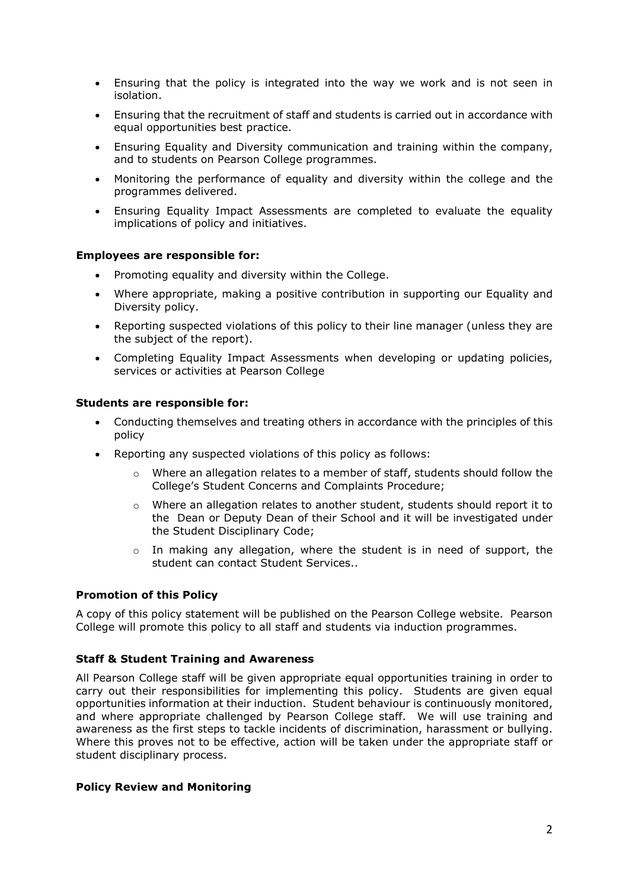- Ensuring that the policy is integrated into the way we work and is not seen in isolation.
- Ensuring that the recruitment of staff and students is carried out in accordance with equal opportunities best practice.
- Ensuring Equality and Diversity communication and training within the company, and to students on Pearson College programmes.
- Monitoring the performance of equality and diversity within the college and the programmes delivered.
- Ensuring Equality Impact Assessments are completed to evaluate the equality implications of policy and initiatives.

#### **Employees are responsible for:**

- Promoting equality and diversity within the College.
- Where appropriate, making a positive contribution in supporting our Equality and Diversity policy.
- Reporting suspected violations of this policy to their line manager (unless they are the subject of the report).
- Completing Equality Impact Assessments when developing or updating policies, services or activities at Pearson College

#### **Students are responsible for:**

- Conducting themselves and treating others in accordance with the principles of this policy
- Reporting any suspected violations of this policy as follows:
	- $\circ$  Where an allegation relates to a member of staff, students should follow the College's Student Concerns and Complaints Procedure;
	- o Where an allegation relates to another student, students should report it to the Dean or Deputy Dean of their School and it will be investigated under the Student Disciplinary Code;
	- o In making any allegation, where the student is in need of support, the student can contact Student Services..

#### **Promotion of this Policy**

A copy of this policy statement will be published on the Pearson College website. Pearson College will promote this policy to all staff and students via induction programmes.

## **Staff & Student Training and Awareness**

All Pearson College staff will be given appropriate equal opportunities training in order to carry out their responsibilities for implementing this policy. Students are given equal opportunities information at their induction. Student behaviour is continuously monitored, and where appropriate challenged by Pearson College staff. We will use training and awareness as the first steps to tackle incidents of discrimination, harassment or bullying. Where this proves not to be effective, action will be taken under the appropriate staff or student disciplinary process.

#### **Policy Review and Monitoring**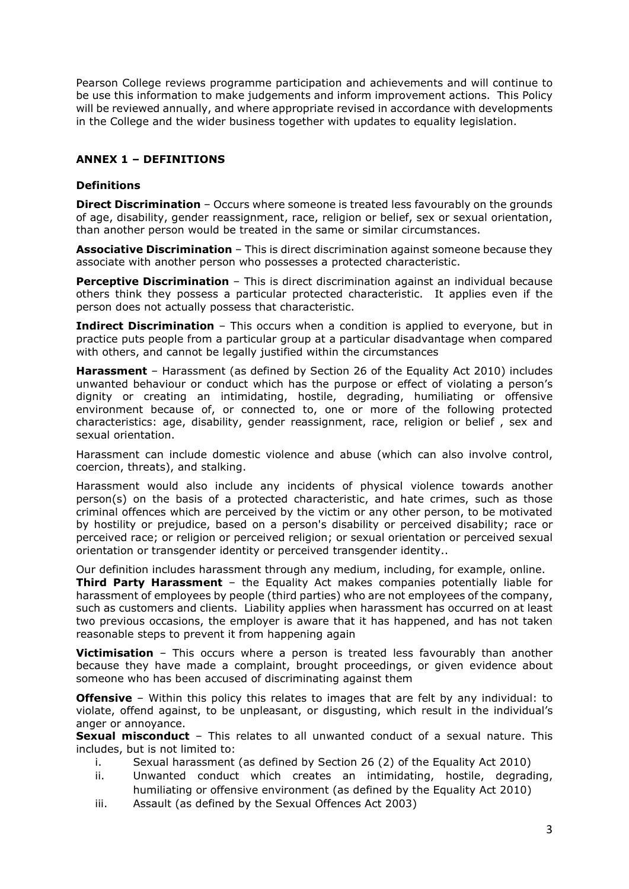Pearson College reviews programme participation and achievements and will continue to be use this information to make judgements and inform improvement actions. This Policy will be reviewed annually, and where appropriate revised in accordance with developments in the College and the wider business together with updates to equality legislation.

# **ANNEX 1 – DEFINITIONS**

## **Definitions**

**Direct Discrimination** – Occurs where someone is treated less favourably on the grounds of age, disability, gender reassignment, race, religion or belief, sex or sexual orientation, than another person would be treated in the same or similar circumstances.

**Associative Discrimination** – This is direct discrimination against someone because they associate with another person who possesses a protected characteristic.

**Perceptive Discrimination** – This is direct discrimination against an individual because others think they possess a particular protected characteristic. It applies even if the person does not actually possess that characteristic.

**Indirect Discrimination** – This occurs when a condition is applied to everyone, but in practice puts people from a particular group at a particular disadvantage when compared with others, and cannot be legally justified within the circumstances

**Harassment** – Harassment (as defined by Section 26 of the Equality Act 2010) includes unwanted behaviour or conduct which has the purpose or effect of violating a person's dignity or creating an intimidating, hostile, degrading, humiliating or offensive environment because of, or connected to, one or more of the following protected characteristics: age, disability, gender reassignment, race, religion or belief , sex and sexual orientation.

Harassment can include domestic violence and abuse (which can also involve control, coercion, threats), and stalking.

Harassment would also include any incidents of physical violence towards another person(s) on the basis of a protected characteristic, and hate crimes, such as those criminal offences which are perceived by the victim or any other person, to be motivated by hostility or prejudice, based on a person's disability or perceived disability; race or perceived race; or religion or perceived religion; or sexual orientation or perceived sexual orientation or transgender identity or perceived transgender identity..

Our definition includes harassment through any medium, including, for example, online.

**Third Party Harassment** – the Equality Act makes companies potentially liable for harassment of employees by people (third parties) who are not employees of the company, such as customers and clients. Liability applies when harassment has occurred on at least two previous occasions, the employer is aware that it has happened, and has not taken reasonable steps to prevent it from happening again

**Victimisation** – This occurs where a person is treated less favourably than another because they have made a complaint, brought proceedings, or given evidence about someone who has been accused of discriminating against them

**Offensive** – Within this policy this relates to images that are felt by any individual: to violate, offend against, to be unpleasant, or disgusting, which result in the individual's anger or annoyance.

**Sexual misconduct** – This relates to all unwanted conduct of a sexual nature. This includes, but is not limited to:

- i. Sexual harassment (as defined by Section 26 (2) of the Equality Act 2010)
- ii. Unwanted conduct which creates an intimidating, hostile, degrading, humiliating or offensive environment (as defined by the Equality Act 2010)
- iii. Assault (as defined by the Sexual Offences Act 2003)